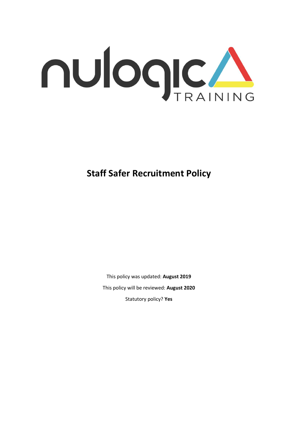

# **Staff Safer Recruitment Policy**

This policy was updated: **August 2019** This policy will be reviewed: **August 2020** Statutory policy? **Yes**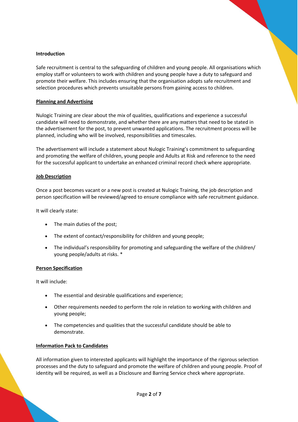# **Introduction**

Safe recruitment is central to the safeguarding of children and young people. All organisations which employ staff or volunteers to work with children and young people have a duty to safeguard and promote their welfare. This includes ensuring that the organisation adopts safe recruitment and selection procedures which prevents unsuitable persons from gaining access to children.

## **Planning and Advertising**

Nulogic Training are clear about the mix of qualities, qualifications and experience a successful candidate will need to demonstrate, and whether there are any matters that need to be stated in the advertisement for the post, to prevent unwanted applications. The recruitment process will be planned, including who will be involved, responsibilities and timescales.

The advertisement will include a statement about Nulogic Training's commitment to safeguarding and promoting the welfare of children, young people and Adults at Risk and reference to the need for the successful applicant to undertake an enhanced criminal record check where appropriate.

#### **Job Description**

Once a post becomes vacant or a new post is created at Nulogic Training, the job description and person specification will be reviewed/agreed to ensure compliance with safe recruitment guidance.

It will clearly state:

- The main duties of the post;
- The extent of contact/responsibility for children and young people;
- The individual's responsibility for promoting and safeguarding the welfare of the children/ young people/adults at risks. \*

#### **Person Specification**

It will include:

- The essential and desirable qualifications and experience;
- Other requirements needed to perform the role in relation to working with children and young people;
- The competencies and qualities that the successful candidate should be able to demonstrate.

#### **Information Pack to Candidates**

All information given to interested applicants will highlight the importance of the rigorous selection processes and the duty to safeguard and promote the welfare of children and young people. Proof of identity will be required, as well as a Disclosure and Barring Service check where appropriate.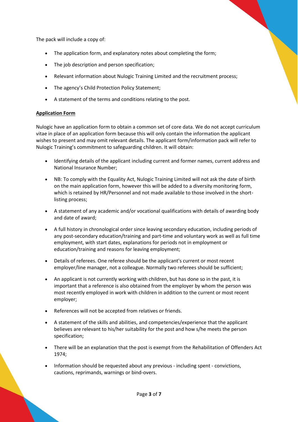The pack will include a copy of:

- The application form, and explanatory notes about completing the form;
- The job description and person specification;
- Relevant information about Nulogic Training Limited and the recruitment process;
- The agency's Child Protection Policy Statement;
- A statement of the terms and conditions relating to the post.

# **Application Form**

Nulogic have an application form to obtain a common set of core data. We do not accept curriculum vitae in place of an application form because this will only contain the information the applicant wishes to present and may omit relevant details. The applicant form/information pack will refer to Nulogic Training's commitment to safeguarding children. It will obtain:

- Identifying details of the applicant including current and former names, current address and National Insurance Number;
- NB: To comply with the Equality Act, Nulogic Training Limited will not ask the date of birth on the main application form, however this will be added to a diversity monitoring form, which is retained by HR/Personnel and not made available to those involved in the shortlisting process;
- A statement of any academic and/or vocational qualifications with details of awarding body and date of award;
- A full history in chronological order since leaving secondary education, including periods of any post-secondary education/training and part-time and voluntary work as well as full time employment, with start dates, explanations for periods not in employment or education/training and reasons for leaving employment;
- Details of referees. One referee should be the applicant's current or most recent employer/line manager, not a colleague. Normally two referees should be sufficient;
- An applicant is not currently working with children, but has done so in the past, it is important that a reference is also obtained from the employer by whom the person was most recently employed in work with children in addition to the current or most recent employer;
- References will not be accepted from relatives or friends.
- A statement of the skills and abilities, and competencies/experience that the applicant believes are relevant to his/her suitability for the post and how s/he meets the person specification;
- There will be an explanation that the post is exempt from the Rehabilitation of Offenders Act 1974;
- Information should be requested about any previous including spent convictions, cautions, reprimands, warnings or bind-overs.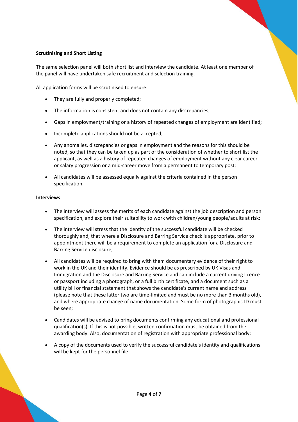## **Scrutinising and Short Listing**

The same selection panel will both short list and interview the candidate. At least one member of the panel will have undertaken safe recruitment and selection training.

All application forms will be scrutinised to ensure:

- They are fully and properly completed;
- The information is consistent and does not contain any discrepancies;
- Gaps in employment/training or a history of repeated changes of employment are identified;
- Incomplete applications should not be accepted;
- Any anomalies, discrepancies or gaps in employment and the reasons for this should be noted, so that they can be taken up as part of the consideration of whether to short list the applicant, as well as a history of repeated changes of employment without any clear career or salary progression or a mid-career move from a permanent to temporary post;
- All candidates will be assessed equally against the criteria contained in the person specification.

#### **Interviews**

- The interview will assess the merits of each candidate against the job description and person specification, and explore their suitability to work with children/young people/adults at risk;
- The interview will stress that the identity of the successful candidate will be checked thoroughly and, that where a Disclosure and Barring Service check is appropriate, prior to appointment there will be a requirement to complete an application for a Disclosure and Barring Service disclosure;
- All candidates will be required to bring with them documentary evidence of their right to work in the UK and their identity. Evidence should be as prescribed by UK Visas and Immigration and the Disclosure and Barring Service and can include a current driving licence or passport including a photograph, or a full birth certificate, and a document such as a utility bill or financial statement that shows the candidate's current name and address (please note that these latter two are time-limited and must be no more than 3 months old), and where appropriate change of name documentation. Some form of photographic ID must be seen;
- Candidates will be advised to bring documents confirming any educational and professional qualification(s). If this is not possible, written confirmation must be obtained from the awarding body. Also, documentation of registration with appropriate professional body;
- A copy of the documents used to verify the successful candidate's identity and qualifications will be kept for the personnel file.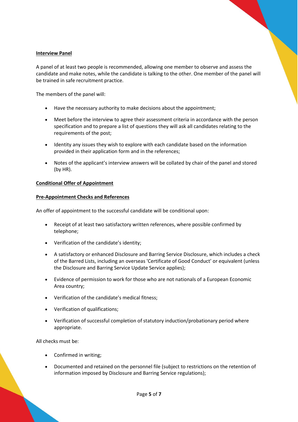## **Interview Panel**

A panel of at least two people is recommended, allowing one member to observe and assess the candidate and make notes, while the candidate is talking to the other. One member of the panel will be trained in safe recruitment practice.

The members of the panel will:

- Have the necessary authority to make decisions about the appointment;
- Meet before the interview to agree their assessment criteria in accordance with the person specification and to prepare a list of questions they will ask all candidates relating to the requirements of the post;
- Identity any issues they wish to explore with each candidate based on the information provided in their application form and in the references;
- Notes of the applicant's interview answers will be collated by chair of the panel and stored (by HR).

# **Conditional Offer of Appointment**

#### **Pre-Appointment Checks and References**

An offer of appointment to the successful candidate will be conditional upon:

- Receipt of at least two satisfactory written references, where possible confirmed by telephone;
- Verification of the candidate's identity;
- A satisfactory or enhanced Disclosure and Barring Service Disclosure, which includes a check of the Barred Lists, including an overseas 'Certificate of Good Conduct' or equivalent (unless the Disclosure and Barring Service Update Service applies);
- Evidence of permission to work for those who are not nationals of a European Economic Area country;
- Verification of the candidate's medical fitness;
- Verification of qualifications;
- Verification of successful completion of statutory induction/probationary period where appropriate.

All checks must be:

- Confirmed in writing;
- Documented and retained on the personnel file (subject to restrictions on the retention of information imposed by Disclosure and Barring Service regulations);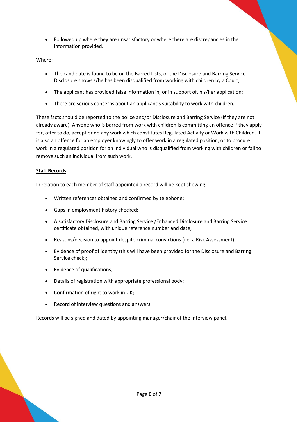• Followed up where they are unsatisfactory or where there are discrepancies in the information provided.

Where:

- The candidate is found to be on the Barred Lists, or the Disclosure and Barring Service Disclosure shows s/he has been disqualified from working with children by a Court;
- The applicant has provided false information in, or in support of, his/her application;
- There are serious concerns about an applicant's suitability to work with children.

These facts should be reported to the police and/or Disclosure and Barring Service (if they are not already aware). Anyone who is barred from work with children is committing an offence if they apply for, offer to do, accept or do any work which constitutes Regulated Activity or Work with Children. It is also an offence for an employer knowingly to offer work in a regulated position, or to procure work in a regulated position for an individual who is disqualified from working with children or fail to remove such an individual from such work.

# **Staff Records**

In relation to each member of staff appointed a record will be kept showing:

- Written references obtained and confirmed by telephone;
- Gaps in employment history checked;
- A satisfactory Disclosure and Barring Service /Enhanced Disclosure and Barring Service certificate obtained, with unique reference number and date;
- Reasons/decision to appoint despite criminal convictions (i.e. a Risk Assessment);
- Evidence of proof of identity (this will have been provided for the Disclosure and Barring Service check);
- Evidence of qualifications;
- Details of registration with appropriate professional body;
- Confirmation of right to work in UK;
- Record of interview questions and answers.

Records will be signed and dated by appointing manager/chair of the interview panel.